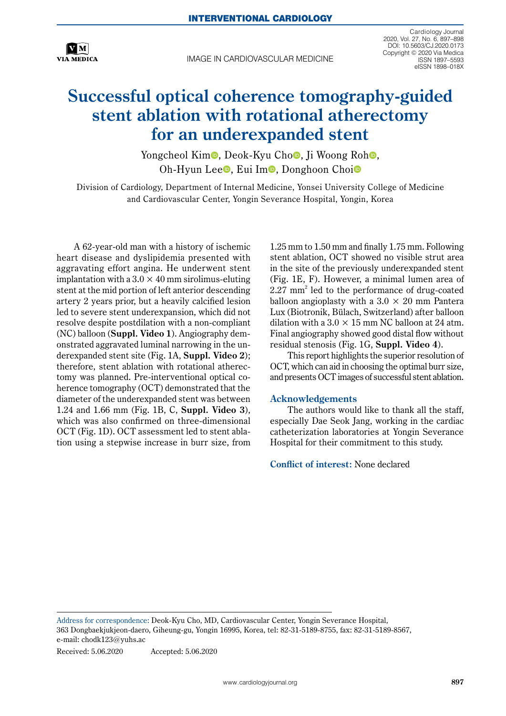

IMAGE IN CARDIOVASCULAR MEDICINE

Cardiology Journal 2020, Vol. 27, No. 6, 897–898 DOI: 10.5603/CJ.2020.0173 Copyright © 2020 Via Medica ISSN 1897–5593 eISSN 1898–018X

## **Successful optical coherence tomography-guided stent ablation with rotational atherectomy for an underexpanded stent**

Yongcheol Kim<sup>o</sup>[,](https://orcid.org/0000-0001-6130-3994) Deok-Kyu Cho<sup>o</sup>, Ji Woong Roh<sup>o</sup>, Oh-Hyun Lee **D**, Eu[i](https://orcid.org/0000-0002-2009-9760) Im **D**, Donghoon Choi<sup>o</sup>

Division of Cardiology, Department of Internal Medicine, Yonsei University College of Medicine and Cardiovascular Center, Yongin Severance Hospital, Yongin, Korea

A 62-year-old man with a history of ischemic heart disease and dyslipidemia presented with aggravating effort angina. He underwent stent implantation with a  $3.0 \times 40$  mm sirolimus-eluting stent at the mid portion of left anterior descending artery 2 years prior, but a heavily calcified lesion led to severe stent underexpansion, which did not resolve despite postdilation with a non-compliant (NC) balloon (**Suppl. Video 1**). Angiography demonstrated aggravated luminal narrowing in the underexpanded stent site (Fig. 1A, **Suppl. Video 2**); therefore, stent ablation with rotational atherectomy was planned. Pre-interventional optical coherence tomography (OCT) demonstrated that the diameter of the underexpanded stent was between 1.24 and 1.66 mm (Fig. 1B, C, **Suppl. Video 3**), which was also confirmed on three-dimensional OCT (Fig. 1D). OCT assessment led to stent ablation using a stepwise increase in burr size, from 1.25 mm to 1.50 mm and finally 1.75 mm. Following stent ablation, OCT showed no visible strut area in the site of the previously underexpanded stent (Fig. 1E, F). However, a minimal lumen area of 2.27 mm2 led to the performance of drug-coated balloon angioplasty with a  $3.0 \times 20$  mm Pantera Lux (Biotronik, Bülach, Switzerland) after balloon dilation with a  $3.0 \times 15$  mm NC balloon at 24 atm. Final angiography showed good distal flow without residual stenosis (Fig. 1G, **Suppl. Video 4**).

This report highlights the superior resolution of OCT, which can aid in choosing the optimal burr size, and presents OCT images of successful stent ablation.

## **Acknowledgements**

The authors would like to thank all the staff, especially Dae Seok Jang, working in the cardiac catheterization laboratories at Yongin Severance Hospital for their commitment to this study.

**Conflict of interest:** None declared

Address for correspondence: Deok-Kyu Cho, MD, Cardiovascular Center, Yongin Severance Hospital, 363 Dongbaekjukjeon-daero, Giheung-gu, Yongin 16995, Korea, tel: 82-31-5189-8755, fax: 82-31-5189-8567, e-mail: [chodk123@yuhs.ac](mailto:chodk123@yuhs.ac)

Received: 5.06.2020 Accepted: 5.06.2020